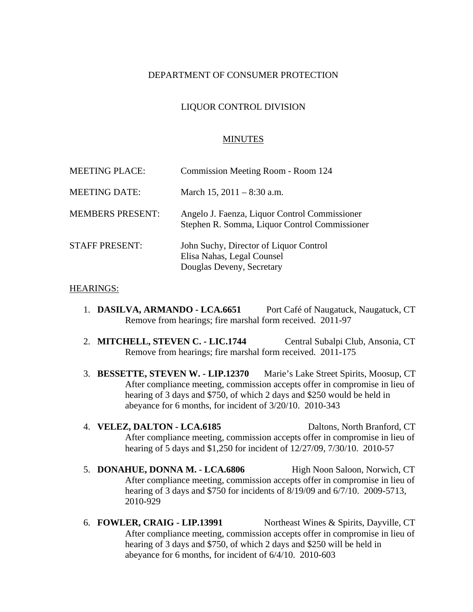# DEPARTMENT OF CONSUMER PROTECTION

# LIQUOR CONTROL DIVISION

### MINUTES

| <b>MEETING PLACE:</b>   | Commission Meeting Room - Room 124                                                                |
|-------------------------|---------------------------------------------------------------------------------------------------|
| <b>MEETING DATE:</b>    | March 15, $2011 - 8:30$ a.m.                                                                      |
| <b>MEMBERS PRESENT:</b> | Angelo J. Faenza, Liquor Control Commissioner<br>Stephen R. Somma, Liquor Control Commissioner    |
| <b>STAFF PRESENT:</b>   | John Suchy, Director of Liquor Control<br>Elisa Nahas, Legal Counsel<br>Douglas Deveny, Secretary |

#### HEARINGS:

- 1. **DASILVA, ARMANDO LCA.6651** Port Café of Naugatuck, Naugatuck, CT Remove from hearings; fire marshal form received. 2011-97
- 2. **MITCHELL, STEVEN C. LIC.1744** Central Subalpi Club, Ansonia, CT Remove from hearings; fire marshal form received. 2011-175
- 3. **BESSETTE, STEVEN W. LIP.12370** Marie's Lake Street Spirits, Moosup, CT After compliance meeting, commission accepts offer in compromise in lieu of hearing of 3 days and \$750, of which 2 days and \$250 would be held in abeyance for 6 months, for incident of 3/20/10. 2010-343
- 4. **VELEZ, DALTON LCA.6185** Daltons, North Branford, CT After compliance meeting, commission accepts offer in compromise in lieu of hearing of 5 days and \$1,250 for incident of 12/27/09, 7/30/10. 2010-57
- 5. **DONAHUE, DONNA M. LCA.6806** High Noon Saloon, Norwich, CT After compliance meeting, commission accepts offer in compromise in lieu of hearing of 3 days and \$750 for incidents of 8/19/09 and 6/7/10. 2009-5713, 2010-929
- 6. **FOWLER, CRAIG LIP.13991** Northeast Wines & Spirits, Dayville, CT After compliance meeting, commission accepts offer in compromise in lieu of hearing of 3 days and \$750, of which 2 days and \$250 will be held in abeyance for 6 months, for incident of 6/4/10. 2010-603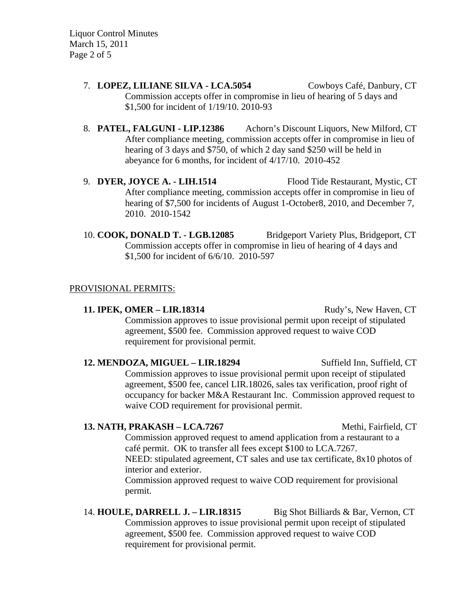Liquor Control Minutes March 15, 2011 Page 2 of 5

- 7. **LOPEZ, LILIANE SILVA LCA.5054** Cowboys Café, Danbury, CT Commission accepts offer in compromise in lieu of hearing of 5 days and \$1,500 for incident of 1/19/10. 2010-93
- 8. **PATEL, FALGUNI LIP.12386** Achorn's Discount Liquors, New Milford, CT After compliance meeting, commission accepts offer in compromise in lieu of hearing of 3 days and \$750, of which 2 day sand \$250 will be held in abeyance for 6 months, for incident of 4/17/10. 2010-452
- 9. **DYER, JOYCE A. LIH.1514** Flood Tide Restaurant, Mystic, CT After compliance meeting, commission accepts offer in compromise in lieu of hearing of \$7,500 for incidents of August 1-October8, 2010, and December 7, 2010. 2010-1542
- 10. **COOK, DONALD T. LGB.12085** Bridgeport Variety Plus, Bridgeport, CT Commission accepts offer in compromise in lieu of hearing of 4 days and \$1,500 for incident of 6/6/10. 2010-597

## PROVISIONAL PERMITS:

**11. IPEK, OMER – LIR.18314** Rudy's, New Haven, CT Commission approves to issue provisional permit upon receipt of stipulated agreement, \$500 fee. Commission approved request to waive COD requirement for provisional permit.

12. **MENDOZA, MIGUEL – LIR.18294** Suffield Inn, Suffield, CT Commission approves to issue provisional permit upon receipt of stipulated agreement, \$500 fee, cancel LIR.18026, sales tax verification, proof right of occupancy for backer M&A Restaurant Inc. Commission approved request to waive COD requirement for provisional permit.

#### **13. NATH, PRAKASH – LCA.7267** Methi, Fairfield, CT

Commission approved request to amend application from a restaurant to a café permit. OK to transfer all fees except \$100 to LCA.7267. NEED: stipulated agreement, CT sales and use tax certificate, 8x10 photos of interior and exterior.

Commission approved request to waive COD requirement for provisional permit.

14. **HOULE, DARRELL J. – LIR.18315** Big Shot Billiards & Bar, Vernon, CT Commission approves to issue provisional permit upon receipt of stipulated agreement, \$500 fee. Commission approved request to waive COD requirement for provisional permit.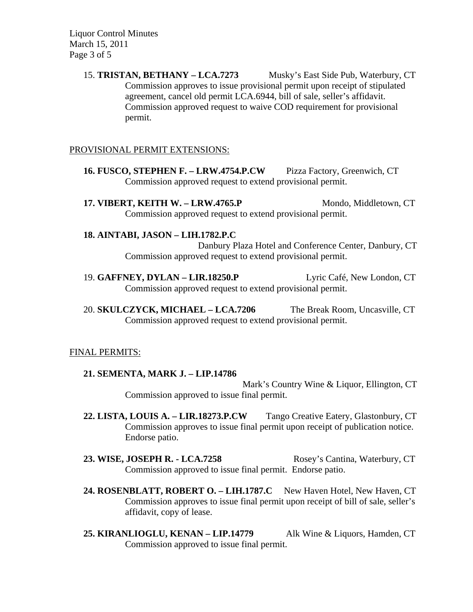Liquor Control Minutes March 15, 2011 Page 3 of 5

> 15. **TRISTAN, BETHANY – LCA.7273** Musky's East Side Pub, Waterbury, CT Commission approves to issue provisional permit upon receipt of stipulated agreement, cancel old permit LCA.6944, bill of sale, seller's affidavit. Commission approved request to waive COD requirement for provisional permit.

## PROVISIONAL PERMIT EXTENSIONS:

- **16. FUSCO, STEPHEN F. LRW.4754.P.CW** Pizza Factory, Greenwich, CT Commission approved request to extend provisional permit.
- **17. VIBERT, KEITH W. LRW.4765.P** Mondo, Middletown, CT Commission approved request to extend provisional permit.

## **18. AINTABI, JASON – LIH.1782.P.C**

Danbury Plaza Hotel and Conference Center, Danbury, CT Commission approved request to extend provisional permit.

- 19. **GAFFNEY, DYLAN LIR.18250.P** Lyric Café, New London, CT Commission approved request to extend provisional permit.
- 20. **SKULCZYCK, MICHAEL LCA.7206** The Break Room, Uncasville, CT Commission approved request to extend provisional permit.

## FINAL PERMITS:

## **21. SEMENTA, MARK J. – LIP.14786**

Mark's Country Wine & Liquor, Ellington, CT Commission approved to issue final permit.

**22. LISTA, LOUIS A. – LIR.18273.P.CW** Tango Creative Eatery, Glastonbury, CT Commission approves to issue final permit upon receipt of publication notice. Endorse patio.

23. WISE, JOSEPH R. - LCA.7258 Rosey's Cantina, Waterbury, CT Commission approved to issue final permit. Endorse patio.

- 24. ROSENBLATT, ROBERT O. LIH.1787.C New Haven Hotel, New Haven, CT Commission approves to issue final permit upon receipt of bill of sale, seller's affidavit, copy of lease.
- **25. KIRANLIOGLU, KENAN LIP.14779** Alk Wine & Liquors, Hamden, CT Commission approved to issue final permit.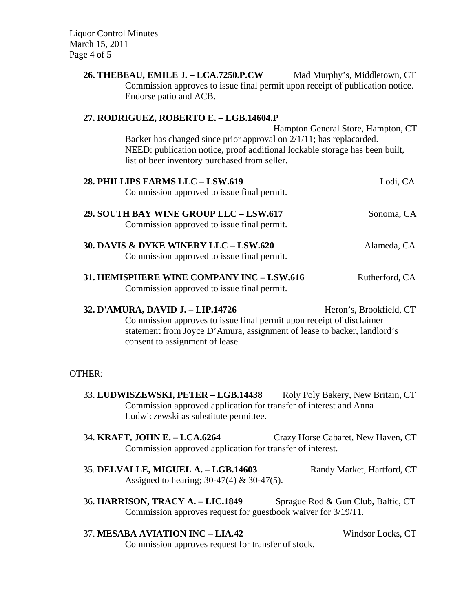Liquor Control Minutes March 15, 2011 Page 4 of 5

| 26. THEBEAU, EMILE J. – LCA.7250.P.CW<br>Commission approves to issue final permit upon receipt of publication notice.<br>Endorse patio and ACB.                                                                                               | Mad Murphy's, Middletown, CT       |
|------------------------------------------------------------------------------------------------------------------------------------------------------------------------------------------------------------------------------------------------|------------------------------------|
| 27. RODRIGUEZ, ROBERTO E. - LGB.14604.P<br>Backer has changed since prior approval on 2/1/11; has replacarded.<br>NEED: publication notice, proof additional lockable storage has been built,<br>list of beer inventory purchased from seller. | Hampton General Store, Hampton, CT |
| 28. PHILLIPS FARMS LLC - LSW.619<br>Commission approved to issue final permit.                                                                                                                                                                 | Lodi, CA                           |
| 29. SOUTH BAY WINE GROUP LLC - LSW.617<br>Commission approved to issue final permit.                                                                                                                                                           | Sonoma, CA                         |
| 30. DAVIS & DYKE WINERY LLC - LSW.620<br>Commission approved to issue final permit.                                                                                                                                                            | Alameda, CA                        |
| 31. HEMISPHERE WINE COMPANY INC - LSW.616<br>Commission approved to issue final permit.                                                                                                                                                        | Rutherford, CA                     |
| 32. D'AMURA, DAVID J. - LIP.14726<br>Commission approves to issue final permit upon receipt of disclaimer<br>statement from Joyce D'Amura, assignment of lease to backer, landlord's<br>consent to assignment of lease.                        | Heron's, Brookfield, CT            |
| OTHER:                                                                                                                                                                                                                                         |                                    |
| 33. LUDWISZEWSKI, PETER – LGB.14438<br>Commission approved application for transfer of interest and Anna<br>Ludwiczewski as substitute permittee.                                                                                              | Roly Poly Bakery, New Britain, CT  |
| 34. KRAFT, JOHN E. - LCA.6264<br>Commission approved application for transfer of interest.                                                                                                                                                     | Crazy Horse Cabaret, New Haven, CT |
| 35. DELVALLE, MIGUEL A. - LGB.14603<br>Assigned to hearing; $30-47(4)$ & $30-47(5)$ .                                                                                                                                                          | Randy Market, Hartford, CT         |
| 36. HARRISON, TRACY A. - LIC.1849<br>Commission approves request for guestbook waiver for 3/19/11.                                                                                                                                             | Sprague Rod & Gun Club, Baltic, CT |

37. **MESABA AVIATION INC – LIA.42** Windsor Locks, CT Commission approves request for transfer of stock.